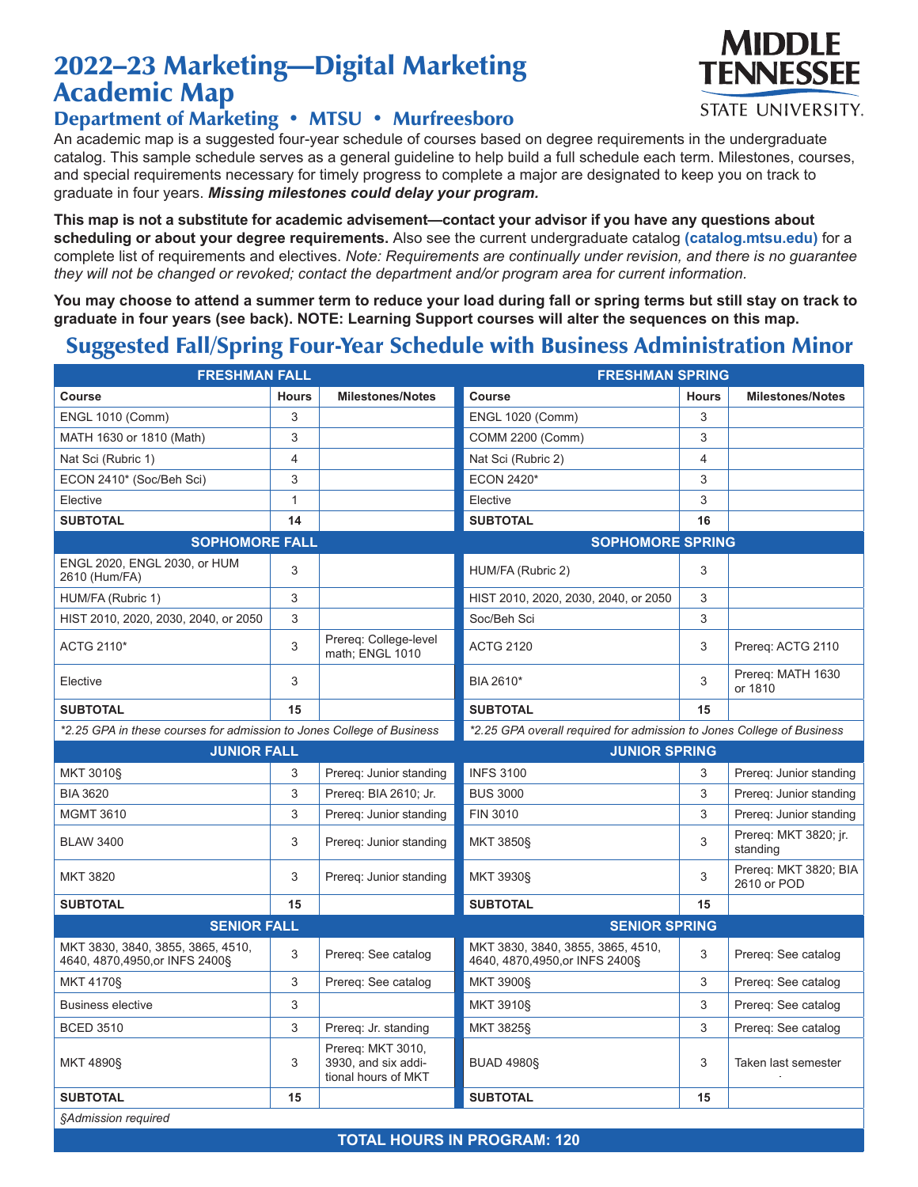## 2022–23 Marketing—Digital Marketing Academic Map



An academic map is a suggested four-year schedule of courses based on degree requirements in the undergraduate catalog. This sample schedule serves as a general guideline to help build a full schedule each term. Milestones, courses, and special requirements necessary for timely progress to complete a major are designated to keep you on track to graduate in four years. *Missing milestones could delay your program.*

**This map is not a substitute for academic advisement—contact your advisor if you have any questions about scheduling or about your degree requirements.** Also see the current undergraduate catalog **(catalog.mtsu.edu)** for a complete list of requirements and electives. *Note: Requirements are continually under revision, and there is no guarantee they will not be changed or revoked; contact the department and/or program area for current information.*

**You may choose to attend a summer term to reduce your load during fall or spring terms but still stay on track to graduate in four years (see back). NOTE: Learning Support courses will alter the sequences on this map.**

## Suggested Fall/Spring Four-Year Schedule with Business Administration Minor

| <b>FRESHMAN FALL</b>                                                  |              |                                                                 | <b>FRESHMAN SPRING</b>                                                |              |                                      |  |  |
|-----------------------------------------------------------------------|--------------|-----------------------------------------------------------------|-----------------------------------------------------------------------|--------------|--------------------------------------|--|--|
| <b>Course</b>                                                         | <b>Hours</b> | <b>Milestones/Notes</b>                                         | Course                                                                | <b>Hours</b> | <b>Milestones/Notes</b>              |  |  |
| <b>ENGL 1010 (Comm)</b>                                               | 3            |                                                                 | <b>ENGL 1020 (Comm)</b>                                               | 3            |                                      |  |  |
| MATH 1630 or 1810 (Math)                                              | 3            |                                                                 | COMM 2200 (Comm)                                                      | 3            |                                      |  |  |
| Nat Sci (Rubric 1)                                                    | 4            |                                                                 | Nat Sci (Rubric 2)                                                    | 4            |                                      |  |  |
| ECON 2410* (Soc/Beh Sci)                                              | 3            |                                                                 | <b>ECON 2420*</b>                                                     | 3            |                                      |  |  |
| Elective                                                              | $\mathbf{1}$ |                                                                 | Elective                                                              | 3            |                                      |  |  |
| <b>SUBTOTAL</b>                                                       | 14           |                                                                 | <b>SUBTOTAL</b>                                                       | 16           |                                      |  |  |
| <b>SOPHOMORE FALL</b>                                                 |              |                                                                 | <b>SOPHOMORE SPRING</b>                                               |              |                                      |  |  |
| ENGL 2020, ENGL 2030, or HUM<br>2610 (Hum/FA)                         | 3            |                                                                 | HUM/FA (Rubric 2)                                                     | 3            |                                      |  |  |
| HUM/FA (Rubric 1)                                                     | 3            |                                                                 | HIST 2010, 2020, 2030, 2040, or 2050                                  | 3            |                                      |  |  |
| HIST 2010, 2020, 2030, 2040, or 2050                                  | 3            |                                                                 | Soc/Beh Sci                                                           | 3            |                                      |  |  |
| ACTG 2110*                                                            | 3            | Prereg: College-level<br>math; ENGL 1010                        | <b>ACTG 2120</b>                                                      | 3            | Prereq: ACTG 2110                    |  |  |
| Elective                                                              | 3            |                                                                 | BIA 2610*                                                             | 3            | Prereq: MATH 1630<br>or 1810         |  |  |
| <b>SUBTOTAL</b>                                                       | 15           |                                                                 | <b>SUBTOTAL</b>                                                       | 15           |                                      |  |  |
| *2.25 GPA in these courses for admission to Jones College of Business |              |                                                                 | *2.25 GPA overall required for admission to Jones College of Business |              |                                      |  |  |
| <b>JUNIOR FALL</b>                                                    |              |                                                                 | <b>JUNIOR SPRING</b>                                                  |              |                                      |  |  |
| MKT 3010§                                                             | 3            | Prereg: Junior standing                                         | <b>INFS 3100</b>                                                      | 3            | Prereg: Junior standing              |  |  |
| <b>BIA 3620</b>                                                       | 3            | Prereq: BIA 2610; Jr.                                           | <b>BUS 3000</b>                                                       | 3            | Prereq: Junior standing              |  |  |
| <b>MGMT 3610</b>                                                      | 3            | Prereg: Junior standing                                         | FIN 3010                                                              | 3            | Prereg: Junior standing              |  |  |
| <b>BLAW 3400</b>                                                      | 3            | Prereq: Junior standing                                         | <b>MKT 3850§</b>                                                      | 3            | Prereq: MKT 3820; jr.<br>standing    |  |  |
| <b>MKT 3820</b>                                                       | 3            | Prereg: Junior standing                                         | MKT 3930§                                                             | 3            | Prereq: MKT 3820; BIA<br>2610 or POD |  |  |
| <b>SUBTOTAL</b>                                                       | 15           |                                                                 | <b>SUBTOTAL</b>                                                       | 15           |                                      |  |  |
| <b>SENIOR FALL</b>                                                    |              |                                                                 | <b>SENIOR SPRING</b>                                                  |              |                                      |  |  |
| MKT 3830, 3840, 3855, 3865, 4510,<br>4640, 4870, 4950, or INFS 2400§  | 3            | Prereq: See catalog                                             | MKT 3830, 3840, 3855, 3865, 4510,<br>4640, 4870, 4950, or INFS 2400§  | 3            | Prereq: See catalog                  |  |  |
| MKT 4170§                                                             | 3            | Prereq: See catalog                                             | <b>MKT 3900§</b>                                                      | 3            | Prereq: See catalog                  |  |  |
| <b>Business elective</b>                                              | 3            |                                                                 | <b>MKT 3910§</b>                                                      | 3            | Prereq: See catalog                  |  |  |
| <b>BCED 3510</b>                                                      | 3            | Prereq: Jr. standing                                            | MKT 3825§                                                             | 3            | Prereq: See catalog                  |  |  |
| MKT 4890§                                                             | 3            | Prereq: MKT 3010,<br>3930, and six addi-<br>tional hours of MKT | <b>BUAD 4980S</b>                                                     | 3            | Taken last semester                  |  |  |
| <b>SUBTOTAL</b>                                                       | 15           |                                                                 | <b>SUBTOTAL</b>                                                       | 15           |                                      |  |  |
| §Admission required                                                   |              |                                                                 |                                                                       |              |                                      |  |  |

MIDDI F **TENNESSEE** 

**STATE UNIVERSITY.** 

**TOTAL HOURS IN PROGRAM: 120**